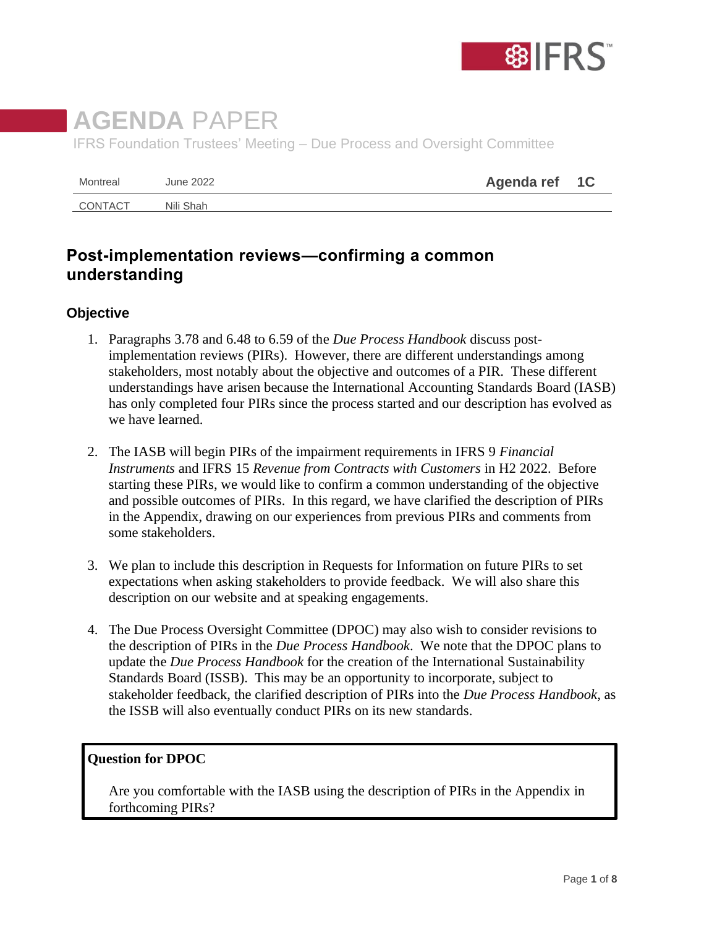

# **AGENDA** PAPER IFRS Foundation Trustees' Meeting – Due Process and Oversight Committee

| Montreal | June 2022 | Agenda ref 1C |  |
|----------|-----------|---------------|--|
| CONTACT  | Nili Shah |               |  |

# **Post-implementation reviews—confirming a common understanding**

# **Objective**

- 1. Paragraphs 3.78 and 6.48 to 6.59 of the *Due Process Handbook* discuss postimplementation reviews (PIRs). However, there are different understandings among stakeholders, most notably about the objective and outcomes of a PIR. These different understandings have arisen because the International Accounting Standards Board (IASB) has only completed four PIRs since the process started and our description has evolved as we have learned.
- 2. The IASB will begin PIRs of the impairment requirements in IFRS 9 *Financial Instruments* and IFRS 15 *Revenue from Contracts with Customers* in H2 2022. Before starting these PIRs, we would like to confirm a common understanding of the objective and possible outcomes of PIRs. In this regard, we have clarified the description of PIRs in the Appendix, drawing on our experiences from previous PIRs and comments from some stakeholders.
- 3. We plan to include this description in Requests for Information on future PIRs to set expectations when asking stakeholders to provide feedback. We will also share this description on our website and at speaking engagements.
- 4. The Due Process Oversight Committee (DPOC) may also wish to consider revisions to the description of PIRs in the *Due Process Handbook*. We note that the DPOC plans to update the *Due Process Handbook* for the creation of the International Sustainability Standards Board (ISSB). This may be an opportunity to incorporate, subject to stakeholder feedback, the clarified description of PIRs into the *Due Process Handbook*, as the ISSB will also eventually conduct PIRs on its new standards.

#### **Question for DPOC**

Are you comfortable with the IASB using the description of PIRs in the Appendix in forthcoming PIRs?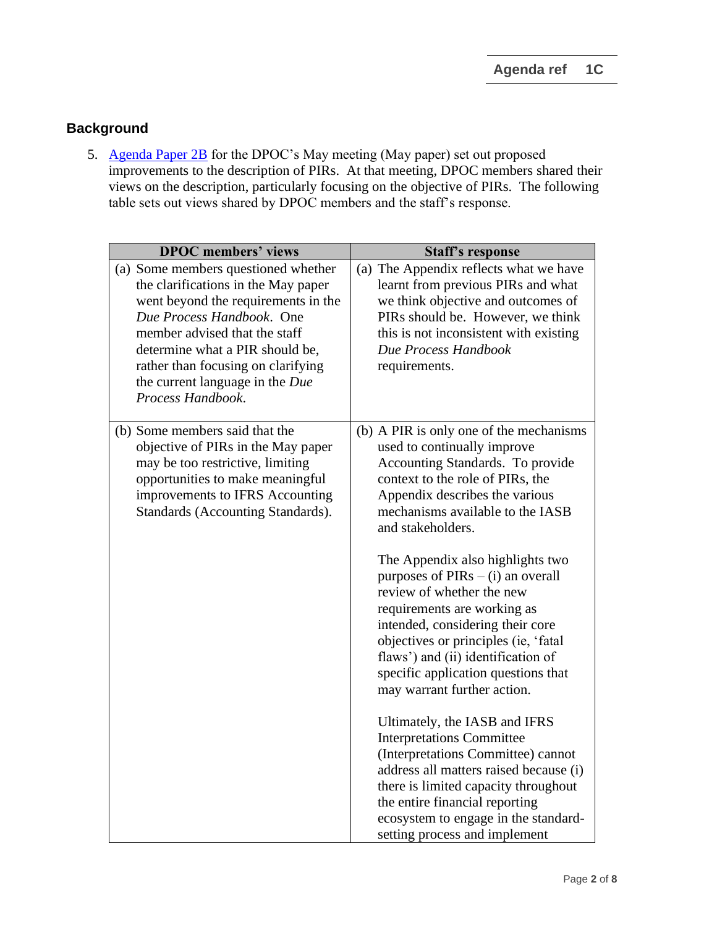## **Background**

5. [Agenda Paper 2B](https://www.ifrs.org/content/dam/ifrs/meetings/2022/may/dpoc/ap2b-dpoc-pir-improving-communications.pdf) for the DPOC's May meeting (May paper) set out proposed improvements to the description of PIRs. At that meeting, DPOC members shared their views on the description, particularly focusing on the objective of PIRs. The following table sets out views shared by DPOC members and the staff's response.

| <b>DPOC</b> members' views                                                                                                                                                                                                                                                                                       | <b>Staff's response</b>                                                                                                                                                                                                                                                                                                                                                                                                                                                                                                                                                                                                                                                                                                                                                                                                                                                          |  |
|------------------------------------------------------------------------------------------------------------------------------------------------------------------------------------------------------------------------------------------------------------------------------------------------------------------|----------------------------------------------------------------------------------------------------------------------------------------------------------------------------------------------------------------------------------------------------------------------------------------------------------------------------------------------------------------------------------------------------------------------------------------------------------------------------------------------------------------------------------------------------------------------------------------------------------------------------------------------------------------------------------------------------------------------------------------------------------------------------------------------------------------------------------------------------------------------------------|--|
| (a) Some members questioned whether<br>the clarifications in the May paper<br>went beyond the requirements in the<br>Due Process Handbook. One<br>member advised that the staff<br>determine what a PIR should be,<br>rather than focusing on clarifying<br>the current language in the Due<br>Process Handbook. | (a) The Appendix reflects what we have<br>learnt from previous PIRs and what<br>we think objective and outcomes of<br>PIRs should be. However, we think<br>this is not inconsistent with existing<br>Due Process Handbook<br>requirements.                                                                                                                                                                                                                                                                                                                                                                                                                                                                                                                                                                                                                                       |  |
| (b) Some members said that the<br>objective of PIRs in the May paper<br>may be too restrictive, limiting<br>opportunities to make meaningful<br>improvements to IFRS Accounting<br>Standards (Accounting Standards).                                                                                             | (b) A PIR is only one of the mechanisms<br>used to continually improve<br>Accounting Standards. To provide<br>context to the role of PIRs, the<br>Appendix describes the various<br>mechanisms available to the IASB<br>and stakeholders.<br>The Appendix also highlights two<br>purposes of $PIRs - (i)$ an overall<br>review of whether the new<br>requirements are working as<br>intended, considering their core<br>objectives or principles (ie, 'fatal<br>flaws') and (ii) identification of<br>specific application questions that<br>may warrant further action.<br>Ultimately, the IASB and IFRS<br><b>Interpretations Committee</b><br>(Interpretations Committee) cannot<br>address all matters raised because (i)<br>there is limited capacity throughout<br>the entire financial reporting<br>ecosystem to engage in the standard-<br>setting process and implement |  |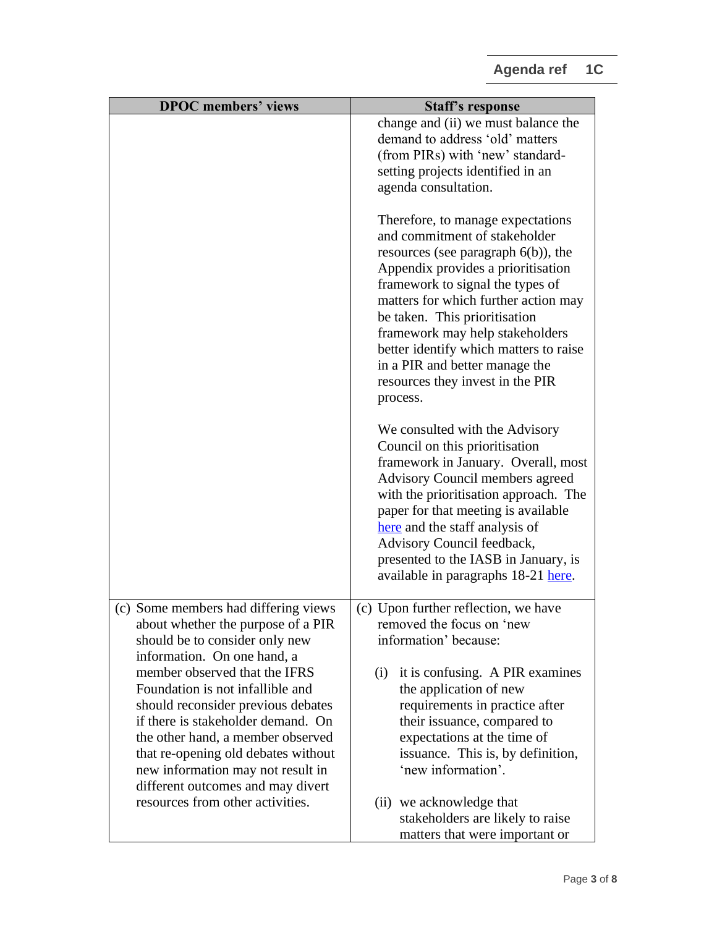| <b>DPOC</b> members' views                                                                                                                                                                                                                                                                                                                                             | <b>Staff's response</b>                                                                                                                                                                                                                                                                                                                                                                                                        |
|------------------------------------------------------------------------------------------------------------------------------------------------------------------------------------------------------------------------------------------------------------------------------------------------------------------------------------------------------------------------|--------------------------------------------------------------------------------------------------------------------------------------------------------------------------------------------------------------------------------------------------------------------------------------------------------------------------------------------------------------------------------------------------------------------------------|
|                                                                                                                                                                                                                                                                                                                                                                        | change and (ii) we must balance the                                                                                                                                                                                                                                                                                                                                                                                            |
|                                                                                                                                                                                                                                                                                                                                                                        | demand to address 'old' matters                                                                                                                                                                                                                                                                                                                                                                                                |
|                                                                                                                                                                                                                                                                                                                                                                        | (from PIRs) with 'new' standard-                                                                                                                                                                                                                                                                                                                                                                                               |
|                                                                                                                                                                                                                                                                                                                                                                        | setting projects identified in an                                                                                                                                                                                                                                                                                                                                                                                              |
|                                                                                                                                                                                                                                                                                                                                                                        | agenda consultation.                                                                                                                                                                                                                                                                                                                                                                                                           |
|                                                                                                                                                                                                                                                                                                                                                                        | Therefore, to manage expectations<br>and commitment of stakeholder<br>resources (see paragraph $6(b)$ ), the<br>Appendix provides a prioritisation<br>framework to signal the types of<br>matters for which further action may<br>be taken. This prioritisation<br>framework may help stakeholders<br>better identify which matters to raise<br>in a PIR and better manage the<br>resources they invest in the PIR<br>process. |
|                                                                                                                                                                                                                                                                                                                                                                        | We consulted with the Advisory<br>Council on this prioritisation<br>framework in January. Overall, most<br><b>Advisory Council members agreed</b><br>with the prioritisation approach. The<br>paper for that meeting is available<br>here and the staff analysis of<br>Advisory Council feedback,<br>presented to the IASB in January, is<br>available in paragraphs 18-21 here.                                               |
| (c) Some members had differing views                                                                                                                                                                                                                                                                                                                                   | (c) Upon further reflection, we have                                                                                                                                                                                                                                                                                                                                                                                           |
| about whether the purpose of a PIR                                                                                                                                                                                                                                                                                                                                     | removed the focus on 'new                                                                                                                                                                                                                                                                                                                                                                                                      |
| should be to consider only new                                                                                                                                                                                                                                                                                                                                         | information' because:                                                                                                                                                                                                                                                                                                                                                                                                          |
| information. On one hand, a<br>member observed that the IFRS<br>Foundation is not infallible and<br>should reconsider previous debates<br>if there is stakeholder demand. On<br>the other hand, a member observed<br>that re-opening old debates without<br>new information may not result in<br>different outcomes and may divert<br>resources from other activities. | it is confusing. A PIR examines<br>(i)<br>the application of new<br>requirements in practice after<br>their issuance, compared to<br>expectations at the time of<br>issuance. This is, by definition,<br>'new information'.<br>(ii) we acknowledge that                                                                                                                                                                        |
|                                                                                                                                                                                                                                                                                                                                                                        | stakeholders are likely to raise                                                                                                                                                                                                                                                                                                                                                                                               |
|                                                                                                                                                                                                                                                                                                                                                                        | matters that were important or                                                                                                                                                                                                                                                                                                                                                                                                 |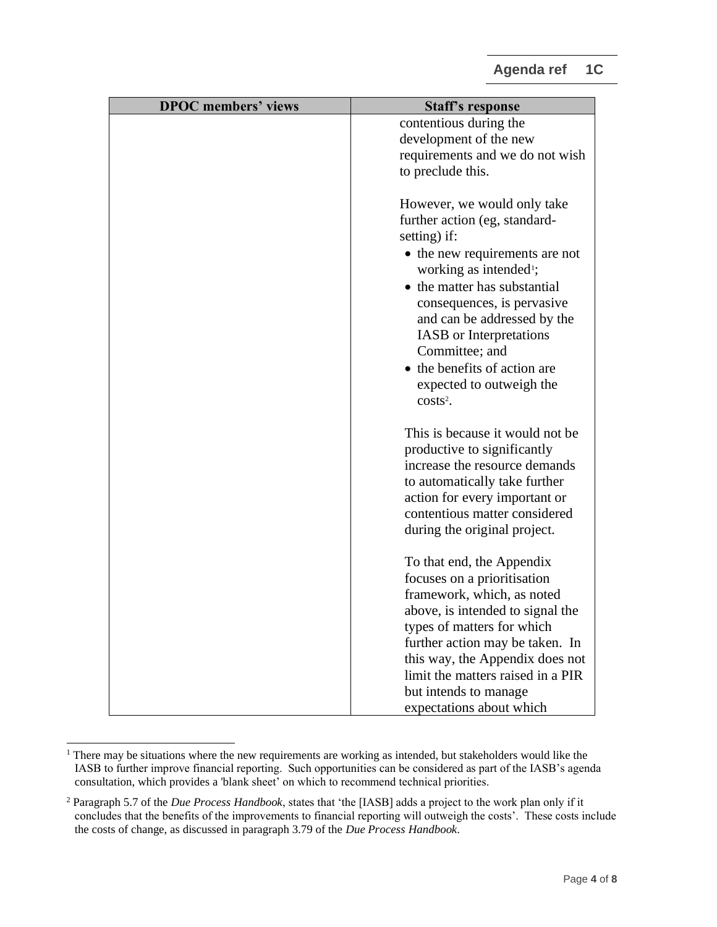| <b>DPOC</b> members' views | <b>Staff's response</b>            |
|----------------------------|------------------------------------|
|                            | contentious during the             |
|                            | development of the new             |
|                            | requirements and we do not wish    |
|                            | to preclude this.                  |
|                            |                                    |
|                            | However, we would only take        |
|                            | further action (eg, standard-      |
|                            | setting) if:                       |
|                            | • the new requirements are not     |
|                            | working as intended <sup>1</sup> ; |
|                            | • the matter has substantial       |
|                            | consequences, is pervasive         |
|                            | and can be addressed by the        |
|                            | IASB or Interpretations            |
|                            | Committee; and                     |
|                            | • the benefits of action are       |
|                            | expected to outweigh the           |
|                            | $costs2$ .                         |
|                            |                                    |
|                            | This is because it would not be.   |
|                            | productive to significantly        |
|                            | increase the resource demands      |
|                            | to automatically take further      |
|                            | action for every important or      |
|                            | contentious matter considered      |
|                            | during the original project.       |
|                            |                                    |
|                            | To that end, the Appendix          |
|                            | focuses on a prioritisation        |
|                            | framework, which, as noted         |
|                            | above, is intended to signal the   |
|                            | types of matters for which         |
|                            | further action may be taken. In    |
|                            | this way, the Appendix does not    |
|                            | limit the matters raised in a PIR  |
|                            | but intends to manage              |
|                            | expectations about which           |

<sup>&</sup>lt;sup>1</sup> There may be situations where the new requirements are working as intended, but stakeholders would like the IASB to further improve financial reporting. Such opportunities can be considered as part of the IASB's agenda consultation, which provides a 'blank sheet' on which to recommend technical priorities.

<sup>2</sup> Paragraph 5.7 of the *Due Process Handbook*, states that 'the [IASB] adds a project to the work plan only if it concludes that the benefits of the improvements to financial reporting will outweigh the costs'. These costs include the costs of change, as discussed in paragraph 3.79 of the *Due Process Handbook*.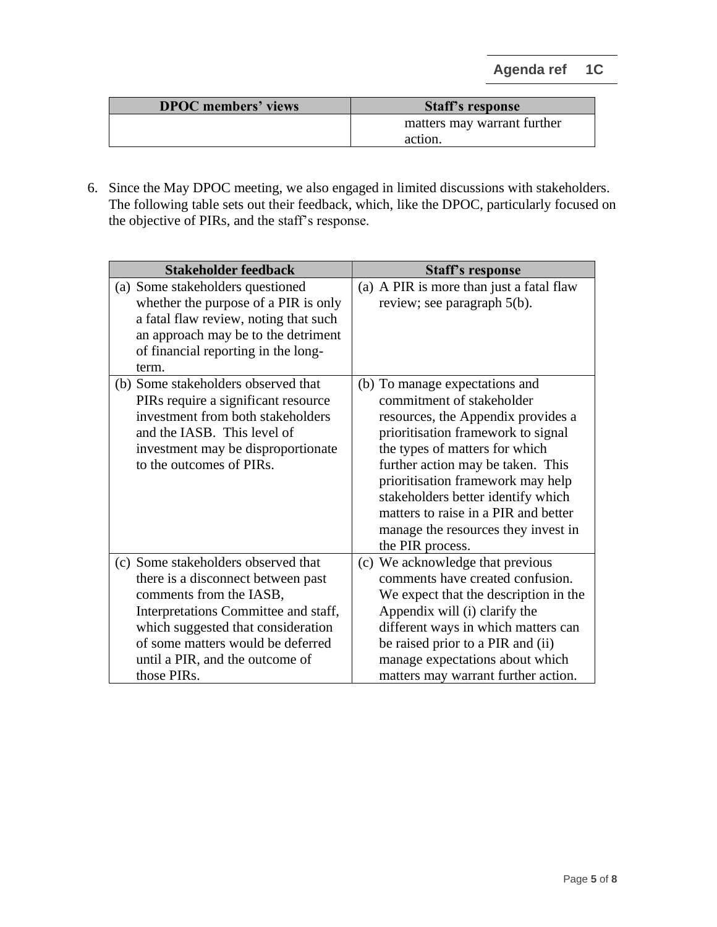| <b>DPOC</b> members' views | <b>Staff's response</b>     |
|----------------------------|-----------------------------|
|                            | matters may warrant further |
|                            | action.                     |

6. Since the May DPOC meeting, we also engaged in limited discussions with stakeholders. The following table sets out their feedback, which, like the DPOC, particularly focused on the objective of PIRs, and the staff's response.

| <b>Stakeholder feedback</b>                                                                                                                                                                                                                                               | <b>Staff's response</b>                                                                                                                                                                                                                                                                                                                                                                      |  |
|---------------------------------------------------------------------------------------------------------------------------------------------------------------------------------------------------------------------------------------------------------------------------|----------------------------------------------------------------------------------------------------------------------------------------------------------------------------------------------------------------------------------------------------------------------------------------------------------------------------------------------------------------------------------------------|--|
| (a) Some stakeholders questioned<br>whether the purpose of a PIR is only<br>a fatal flaw review, noting that such<br>an approach may be to the detriment<br>of financial reporting in the long-<br>term.                                                                  | (a) A PIR is more than just a fatal flaw<br>review; see paragraph 5(b).                                                                                                                                                                                                                                                                                                                      |  |
| (b) Some stakeholders observed that<br>PIRs require a significant resource<br>investment from both stakeholders<br>and the IASB. This level of<br>investment may be disproportionate<br>to the outcomes of PIRs.                                                          | (b) To manage expectations and<br>commitment of stakeholder<br>resources, the Appendix provides a<br>prioritisation framework to signal<br>the types of matters for which<br>further action may be taken. This<br>prioritisation framework may help<br>stakeholders better identify which<br>matters to raise in a PIR and better<br>manage the resources they invest in<br>the PIR process. |  |
| (c) Some stakeholders observed that<br>there is a disconnect between past<br>comments from the IASB,<br>Interpretations Committee and staff,<br>which suggested that consideration<br>of some matters would be deferred<br>until a PIR, and the outcome of<br>those PIRs. | (c) We acknowledge that previous<br>comments have created confusion.<br>We expect that the description in the<br>Appendix will (i) clarify the<br>different ways in which matters can<br>be raised prior to a PIR and (ii)<br>manage expectations about which<br>matters may warrant further action.                                                                                         |  |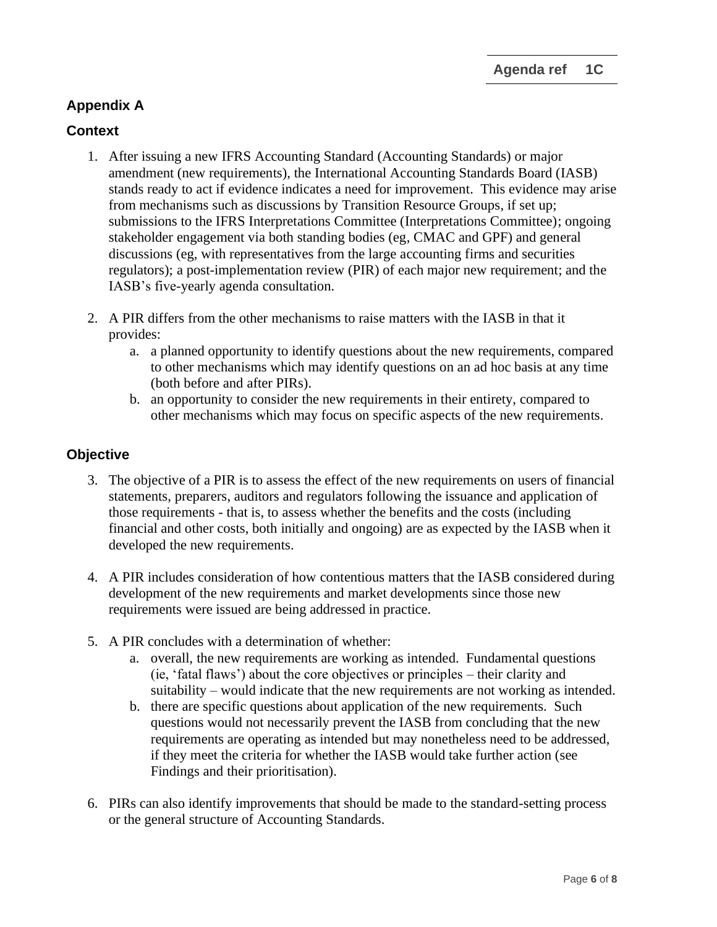# **Appendix A**

# **Context**

- 1. After issuing a new IFRS Accounting Standard (Accounting Standards) or major amendment (new requirements), the International Accounting Standards Board (IASB) stands ready to act if evidence indicates a need for improvement. This evidence may arise from mechanisms such as discussions by Transition Resource Groups, if set up; submissions to the IFRS Interpretations Committee (Interpretations Committee); ongoing stakeholder engagement via both standing bodies (eg, CMAC and GPF) and general discussions (eg, with representatives from the large accounting firms and securities regulators); a post-implementation review (PIR) of each major new requirement; and the IASB's five-yearly agenda consultation.
- 2. A PIR differs from the other mechanisms to raise matters with the IASB in that it provides:
	- a. a planned opportunity to identify questions about the new requirements, compared to other mechanisms which may identify questions on an ad hoc basis at any time (both before and after PIRs).
	- b. an opportunity to consider the new requirements in their entirety, compared to other mechanisms which may focus on specific aspects of the new requirements.

#### **Objective**

- 3. The objective of a PIR is to assess the effect of the new requirements on users of financial statements, preparers, auditors and regulators following the issuance and application of those requirements - that is, to assess whether the benefits and the costs (including financial and other costs, both initially and ongoing) are as expected by the IASB when it developed the new requirements.
- 4. A PIR includes consideration of how contentious matters that the IASB considered during development of the new requirements and market developments since those new requirements were issued are being addressed in practice.
- 5. A PIR concludes with a determination of whether:
	- a. overall, the new requirements are working as intended. Fundamental questions (ie, 'fatal flaws') about the core objectives or principles – their clarity and suitability – would indicate that the new requirements are not working as intended.
	- b. there are specific questions about application of the new requirements. Such questions would not necessarily prevent the IASB from concluding that the new requirements are operating as intended but may nonetheless need to be addressed, if they meet the criteria for whether the IASB would take further action (see Findings and their prioritisation).
- 6. PIRs can also identify improvements that should be made to the standard-setting process or the general structure of Accounting Standards.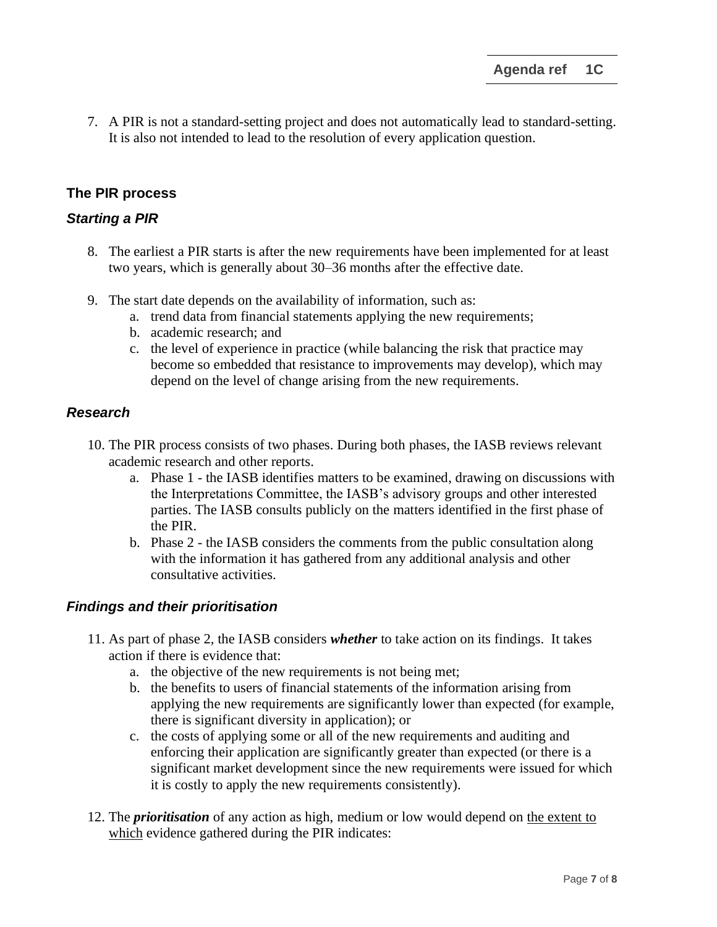7. A PIR is not a standard-setting project and does not automatically lead to standard-setting. It is also not intended to lead to the resolution of every application question.

#### **The PIR process**

#### *Starting a PIR*

- 8. The earliest a PIR starts is after the new requirements have been implemented for at least two years, which is generally about 30–36 months after the effective date.
- 9. The start date depends on the availability of information, such as:
	- a. trend data from financial statements applying the new requirements;
	- b. academic research; and
	- c. the level of experience in practice (while balancing the risk that practice may become so embedded that resistance to improvements may develop), which may depend on the level of change arising from the new requirements.

#### *Research*

- 10. The PIR process consists of two phases. During both phases, the IASB reviews relevant academic research and other reports.
	- a. Phase 1 the IASB identifies matters to be examined, drawing on discussions with the Interpretations Committee, the IASB's advisory groups and other interested parties. The IASB consults publicly on the matters identified in the first phase of the PIR.
	- b. Phase 2 the IASB considers the comments from the public consultation along with the information it has gathered from any additional analysis and other consultative activities.

#### *Findings and their prioritisation*

- 11. As part of phase 2, the IASB considers *whether* to take action on its findings. It takes action if there is evidence that:
	- a. the objective of the new requirements is not being met;
	- b. the benefits to users of financial statements of the information arising from applying the new requirements are significantly lower than expected (for example, there is significant diversity in application); or
	- c. the costs of applying some or all of the new requirements and auditing and enforcing their application are significantly greater than expected (or there is a significant market development since the new requirements were issued for which it is costly to apply the new requirements consistently).
- 12. The *prioritisation* of any action as high, medium or low would depend on the extent to which evidence gathered during the PIR indicates: